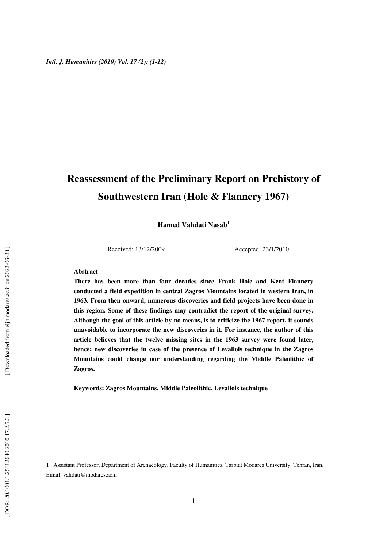# **Reassessment of the Preliminary Report on Prehistory of Southwestern Iran (Hole & Flannery 1967)**

**Hamed Vahdati Nasab** 1

Received: 13/12/2009 Accepted: 23/1/2010

#### **Abstract**

**There has been more than four decades since Frank Hole and Kent Flannery conducted a field expedition in central Zagros Mountains located in western Iran, in 1963. From then onward, numerous discoveries and field projects have been done in this region. Some of these findings may contradict the report of the original survey. Although the goal of this article by no means, is to criticize the 1967 report, it sounds unavoidable to incorporate the new discoveries in it. For instance, the author of this article believes that the twelve missing sites in the 1963 survey were found later, hence; new discoveries in case of the presence of Levallois technique in the Zagros Mountains could change our understanding regarding the Middle Paleolithic of Zagros.** 

**Keywords: Zagros Mountains, Middle Paleolithic, Levallois technique** 

<sup>1</sup> . Assistant Professor, Department of Archaeology, Faculty of Humanities, Tarbiat Modares University, Tehran, Iran. Email: vahdati@modares.ac.ir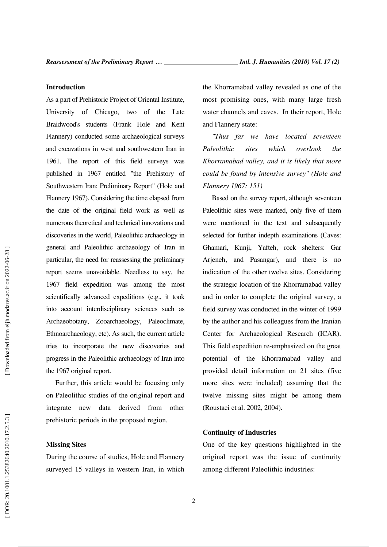#### **Introduction**

As a part of Prehistoric Project of Oriental Institute, University of Chicago, two of the Late Braidwood's students (Frank Hole and Kent Flannery) conducted some archaeological surveys and excavations in west and southwestern Iran in 1961. The report of this field surveys was published in 1967 entitled "the Prehistory of Southwestern Iran: Preliminary Report" (Hole and Flannery 1967). Considering the time elapsed from the date of the original field work as well as numerous theoretical and technical innovations and discoveries in the world, Paleolithic archaeology in general and Paleolithic archaeology of Iran in particular, the need for reassessing the preliminary report seems unavoidable. Needless to say, the 1967 field expedition was among the most scientifically advanced expeditions (e.g., it took into account interdisciplinary sciences such as Archaeobotany, Zooarchaeology, Paleoclimate, Ethnoarchaeology, etc). As such, the current article tries to incorporate the new discoveries and progress in the Paleolithic archaeology of Iran into the 1967 original report.

Further, this article would be focusing only on Paleolithic studies of the original report and integrate new data derived from other prehistoric periods in the proposed region.

# **Missing Sites**

During the course of studies, Hole and Flannery surveyed 15 valleys in western Iran, in which the Khorramabad valley revealed as one of the most promising ones, with many large fresh water channels and caves. In their report, Hole and Flannery state:

*"Thus far we have located seventeen Paleolithic sites which overlook the Khorramabad valley, and it is likely that more could be found by intensive survey" (Hole and Flannery 1967: 151)* 

Based on the survey report, although seventeen Paleolithic sites were marked, only five of them were mentioned in the text and subsequently selected for further indepth examinations (Caves: Ghamari, Kunji, Yafteh, rock shelters: Gar Arjeneh, and Pasangar), and there is no indication of the other twelve sites. Considering the strategic location of the Khorramabad valley and in order to complete the original survey, a field survey was conducted in the winter of 1999 by the author and his colleagues from the Iranian Center for Archaeological Research (ICAR). This field expedition re-emphasized on the great potential of the Khorramabad valley and provided detail information on 21 sites (five more sites were included) assuming that the twelve missing sites might be among them (Roustaei et al. 2002, 2004).

### **Continuity of Industries**

One of the key questions highlighted in the original report was the issue of continuity among different Paleolithic industries: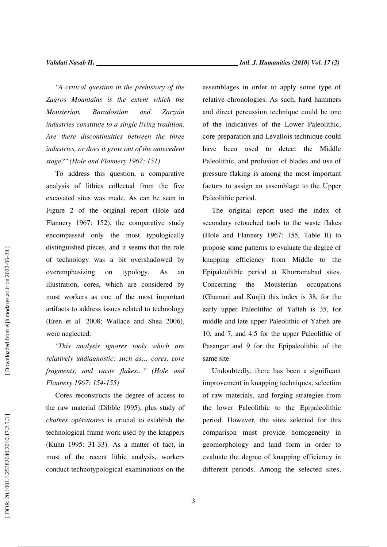*"A critical question in the prehistory of the Zagros Mountains is the extent which the Mousterian, Baradostian and Zarzain industries constitute to a single living tradition. Are there discontinuities between the three industries, or does it grow out of the antecedent stage?" (Hole and Flannery 1967: 151)* 

To address this question, a comparative analysis of lithics collected from the five excavated sites was made. As can be seen in Figure 2 of the original report (Hole and Flannery 1967: 152), the comparative study encompassed only the most typologically distinguished pieces, and it seems that the role of technology was a bit overshadowed by overemphasizing on typology. As an illustration, cores, which are considered by most workers as one of the most important artifacts to address issues related to technology (Eren et al. 2008; Wallace and Shea 2006), were neglected:

*"This analysis ignores tools which are relatively undiagnostic; such as… cores, core fragments, and waste flakes…" (Hole and Flannery 1967: 154-155)* 

Cores reconstructs the degree of access to the raw material (Dibble 1995), plus study of *chaînes opératoires* is crucial to establish the technological frame work used by the knappers (Kuhn 1995: 31-33). As a matter of fact, in most of the recent lithic analysis, workers conduct technotypological examinations on the assemblages in order to apply some type of relative chronologies. As such, hard hammers and direct percussion technique could be one of the indicatives of the Lower Paleolithic, core preparation and Levallois technique could have been used to detect the Middle Paleolithic, and profusion of blades and use of pressure flaking is among the most important factors to assign an assemblage to the Upper Paleolithic period.

The original report used the index of secondary retouched tools to the waste flakes (Hole and Flannery 1967: 155, Table II) to propose some patterns to evaluate the degree of knapping efficiency from Middle to the Epipaleolithic period at Khorramabad sites. Concerning the Mousterian occupations (Ghamari and Kunji) this index is 38, for the early upper Paleolithic of Yafteh is 35, for middle and late upper Paleolithic of Yafteh are 10, and 7, and 4.5 for the upper Paleolithic of Pasangar and 9 for the Epipaleolithic of the same site.

Undoubtedly, there has been a significant improvement in knapping techniques, selection of raw materials, and forging strategies from the lower Paleolithic to the Epipaleolithic period. However, the sites selected for this comparison must provide homogeneity in geomorphology and land form in order to evaluate the degree of knapping efficiency in different periods. Among the selected sites,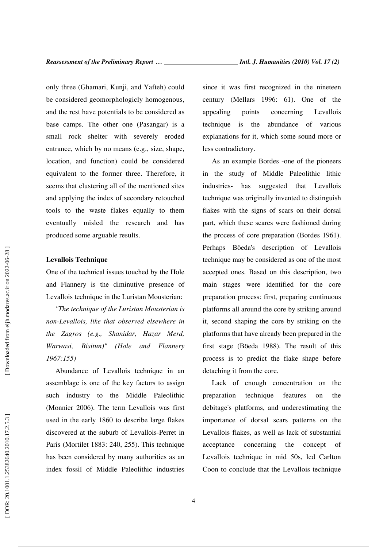only three (Ghamari, Kunji, and Yafteh) could be considered geomorphologicly homogenous, and the rest have potentials to be considered as base camps. The other one (Pasangar) is a small rock shelter with severely eroded entrance, which by no means (e.g., size, shape, location, and function) could be considered equivalent to the former three. Therefore, it seems that clustering all of the mentioned sites and applying the index of secondary retouched tools to the waste flakes equally to them eventually misled the research and has produced some arguable results.

## **Levallois Technique**

One of the technical issues touched by the Hole and Flannery is the diminutive presence of Levallois technique in the Luristan Mousterian:

*"The technique of the Luristan Mousterian is non-Levallois, like that observed elsewhere in the Zagros (e.g., Shanidar, Hazar Merd, Warwasi, Bisitun)" (Hole and Flannery 1967:155)* 

Abundance of Levallois technique in an assemblage is one of the key factors to assign such industry to the Middle Paleolithic (Monnier 2006). The term Levallois was first used in the early 1860 to describe large flakes discovered at the suburb of Levallois-Perret in Paris (Mortilet 1883: 240, 255). This technique has been considered by many authorities as an index fossil of Middle Paleolithic industries since it was first recognized in the nineteen century (Mellars 1996: 61). One of the appealing points concerning Levallois technique is the abundance of various explanations for it, which some sound more or less contradictory.

As an example Bordes -one of the pioneers in the study of Middle Paleolithic lithic industries- has suggested that Levallois technique was originally invented to distinguish flakes with the signs of scars on their dorsal part, which these scares were fashioned during the process of core preparation (Bordes 1961). Perhaps Böeda's description of Levallois technique may be considered as one of the most accepted ones. Based on this description, two main stages were identified for the core preparation process: first, preparing continuous platforms all around the core by striking around it, second shaping the core by striking on the platforms that have already been prepared in the first stage (Böeda 1988). The result of this process is to predict the flake shape before detaching it from the core.

Lack of enough concentration on the preparation technique features on the debitage's platforms, and underestimating the importance of dorsal scars patterns on the Levallois flakes, as well as lack of substantial acceptance concerning the concept of Levallois technique in mid 50s, led Carlton Coon to conclude that the Levallois technique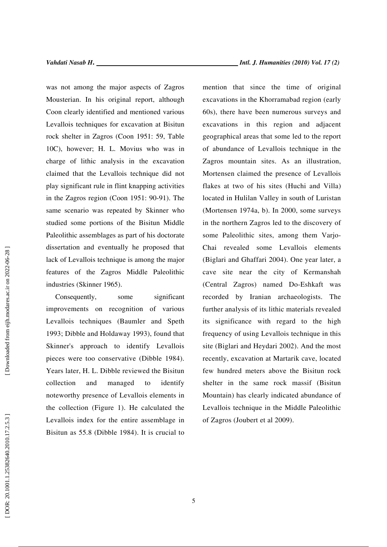was not among the major aspects of Zagros Mousterian. In his original report, although Coon clearly identified and mentioned various Levallois techniques for excavation at Bisitun rock shelter in Zagros (Coon 1951: 59, Table 10C), however; H. L. Movius who was in charge of lithic analysis in the excavation claimed that the Levallois technique did not play significant rule in flint knapping activities in the Zagros region (Coon 1951: 90-91). The same scenario was repeated by Skinner who studied some portions of the Bisitun Middle Paleolithic assemblages as part of his doctorate dissertation and eventually he proposed that lack of Levallois technique is among the major features of the Zagros Middle Paleolithic industries (Skinner 1965).

Consequently, some significant improvements on recognition of various Levallois techniques (Baumler and Speth 1993; Dibble and Holdaway 1993), found that Skinner's approach to identify Levallois pieces were too conservative (Dibble 1984). Years later, H. L. Dibble reviewed the Bisitun collection and managed to identify noteworthy presence of Levallois elements in the collection (Figure 1). He calculated the Levallois index for the entire assemblage in Bisitun as 55.8 (Dibble 1984). It is crucial to mention that since the time of original excavations in the Khorramabad region (early 60s), there have been numerous surveys and excavations in this region and adjacent geographical areas that some led to the report of abundance of Levallois technique in the Zagros mountain sites. As an illustration, Mortensen claimed the presence of Levallois flakes at two of his sites (Huchi and Villa) located in Hulilan Valley in south of Luristan (Mortensen 1974a, b). In 2000, some surveys in the northern Zagros led to the discovery of some Paleolithic sites, among them Varjo-Chai revealed some Levallois elements (Biglari and Ghaffari 2004). One year later, a cave site near the city of Kermanshah (Central Zagros) named Do-Eshkaft was recorded by Iranian archaeologists. The further analysis of its lithic materials revealed its significance with regard to the high frequency of using Levallois technique in this site (Biglari and Heydari 2002). And the most recently, excavation at Martarik cave, located few hundred meters above the Bisitun rock shelter in the same rock massif (Bisitun Mountain) has clearly indicated abundance of Levallois technique in the Middle Paleolithic of Zagros (Joubert et al 2009).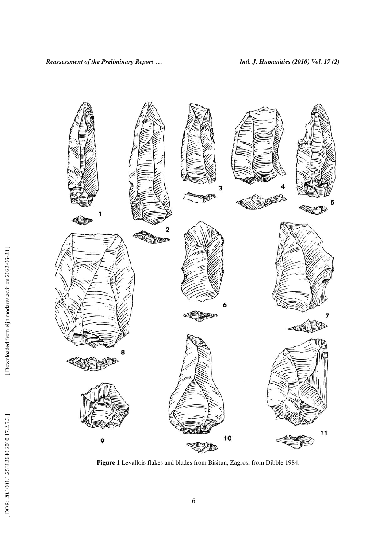

**Figure 1** Levallois flakes and blades from Bisitun, Zagros, from Dibble 1984.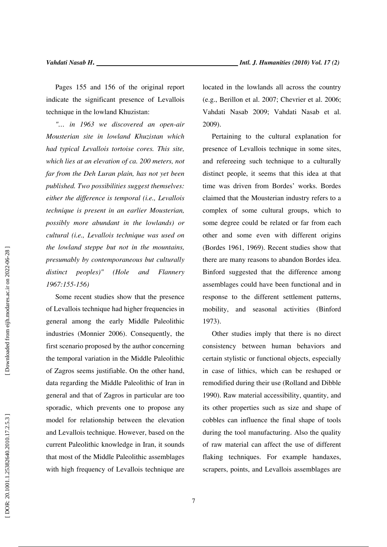Pages 155 and 156 of the original report indicate the significant presence of Levallois technique in the lowland Khuzistan:

*"… in 1963 we discovered an open-air Mousterian site in lowland Khuzistan which had typical Levallois tortoise cores. This site, which lies at an elevation of ca. 200 meters, not far from the Deh Luran plain, has not yet been published. Two possibilities suggest themselves: either the difference is temporal (i.e., Levallois technique is present in an earlier Mousterian, possibly more abundant in the lowlands) or cultural (i.e., Levallois technique was used on the lowland steppe but not in the mountains, presumably by contemporaneous but culturally distinct peoples)" (Hole and Flannery 1967:155-156)* 

Some recent studies show that the presence of Levallois technique had higher frequencies in general among the early Middle Paleolithic industries (Monnier 2006). Consequently, the first scenario proposed by the author concerning the temporal variation in the Middle Paleolithic of Zagros seems justifiable. On the other hand, data regarding the Middle Paleolithic of Iran in general and that of Zagros in particular are too sporadic, which prevents one to propose any model for relationship between the elevation and Levallois technique. However, based on the current Paleolithic knowledge in Iran, it sounds that most of the Middle Paleolithic assemblages with high frequency of Levallois technique are located in the lowlands all across the country (e.g., Berillon et al. 2007; Chevrier et al. 2006; Vahdati Nasab 2009; Vahdati Nasab et al. 2009).

Pertaining to the cultural explanation for presence of Levallois technique in some sites, and refereeing such technique to a culturally distinct people, it seems that this idea at that time was driven from Bordes' works. Bordes claimed that the Mousterian industry refers to a complex of some cultural groups, which to some degree could be related or far from each other and some even with different origins (Bordes 1961, 1969). Recent studies show that there are many reasons to abandon Bordes idea. Binford suggested that the difference among assemblages could have been functional and in response to the different settlement patterns, mobility, and seasonal activities (Binford 1973).

Other studies imply that there is no direct consistency between human behaviors and certain stylistic or functional objects, especially in case of lithics, which can be reshaped or remodified during their use (Rolland and Dibble 1990). Raw material accessibility, quantity, and its other properties such as size and shape of cobbles can influence the final shape of tools during the tool manufacturing. Also the quality of raw material can affect the use of different flaking techniques. For example handaxes, scrapers, points, and Levallois assemblages are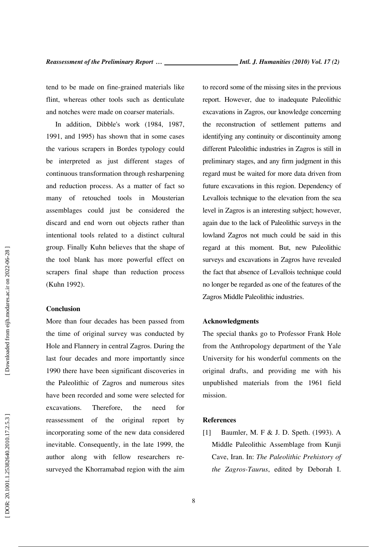tend to be made on fine-grained materials like flint, whereas other tools such as denticulate and notches were made on coarser materials.

In addition, Dibble's work (1984, 1987, 1991, and 1995) has shown that in some cases the various scrapers in Bordes typology could be interpreted as just different stages of continuous transformation through resharpening and reduction process. As a matter of fact so many of retouched tools in Mousterian assemblages could just be considered the discard and end worn out objects rather than intentional tools related to a distinct cultural group. Finally Kuhn believes that the shape of the tool blank has more powerful effect on scrapers final shape than reduction process (Kuhn 1992).

# **Conclusion**

More than four decades has been passed from the time of original survey was conducted by Hole and Flannery in central Zagros. During the last four decades and more importantly since 1990 there have been significant discoveries in the Paleolithic of Zagros and numerous sites have been recorded and some were selected for excavations. Therefore, the need for reassessment of the original report by incorporating some of the new data considered inevitable. Consequently, in the late 1999, the author along with fellow researchers resurveyed the Khorramabad region with the aim to record some of the missing sites in the previous report. However, due to inadequate Paleolithic excavations in Zagros, our knowledge concerning the reconstruction of settlement patterns and identifying any continuity or discontinuity among different Paleolithic industries in Zagros is still in preliminary stages, and any firm judgment in this regard must be waited for more data driven from future excavations in this region. Dependency of Levallois technique to the elevation from the sea level in Zagros is an interesting subject; however, again due to the lack of Paleolithic surveys in the lowland Zagros not much could be said in this regard at this moment. But, new Paleolithic surveys and excavations in Zagros have revealed the fact that absence of Levallois technique could no longer be regarded as one of the features of the Zagros Middle Paleolithic industries.

#### **Acknowledgments**

The special thanks go to Professor Frank Hole from the Anthropology department of the Yale University for his wonderful comments on the original drafts, and providing me with his unpublished materials from the 1961 field mission.

#### **References**

[1] Baumler, M. F & J. D. Speth. (1993). A Middle Paleolithic Assemblage from Kunji Cave, Iran. In: *The Paleolithic Prehistory of the Zagros-Taurus*, edited by Deborah I.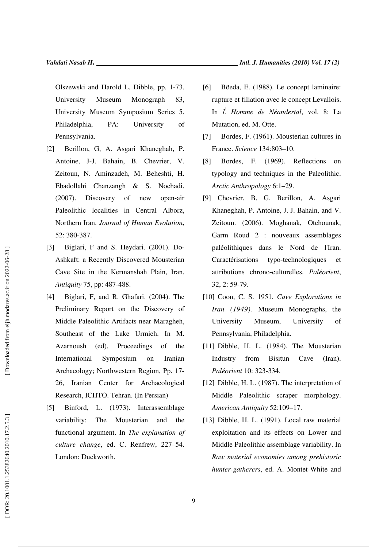Olszewski and Harold L. Dibble, pp. 1-73. University Museum Monograph 83, University Museum Symposium Series 5. Philadelphia, PA: University of Pennsylvania.

- [2] Berillon, G, A. Asgari Khaneghah, P. Antoine, J-J. Bahain, B. Chevrier, V. Zeitoun, N. Aminzadeh, M. Beheshti, H. Ebadollahi Chanzangh & S. Nochadi. (2007). Discovery of new open-air Paleolithic localities in Central Alborz, Northern Iran. *Journal of Human Evolution*, 52: 380-387.
- [3] Biglari, F and S. Heydari. (2001). Do-Ashkaft: a Recently Discovered Mousterian Cave Site in the Kermanshah Plain, Iran. *Antiquity* 75, pp: 487-488.
- [4] Biglari, F, and R. Ghafari. (2004). The Preliminary Report on the Discovery of Middle Paleolithic Artifacts near Maragheh, Southeast of the Lake Urmieh. In M. Azarnoush (ed), Proceedings of the International Symposium on Iranian Archaeology; Northwestern Region, Pp. 17- 26, Iranian Center for Archaeological Research, ICHTO. Tehran. (In Persian)
- [5] Binford, L. (1973). Interassemblage variability: The Mousterian and the functional argument. In *The explanation of culture change*, ed. C. Renfrew, 227–54. London: Duckworth.
- [6] Böeda, E. (1988). Le concept laminaire: rupture et filiation avec le concept Levallois. In Ĺ *Homme de Néandertal*, vol. 8: La
- [7] Bordes, F. (1961). Mousterian cultures in France. *Science* 134:803–10.

Mutation, ed. M. Otte.

- [8] Bordes, F. (1969). Reflections on typology and techniques in the Paleolithic. *Arctic Anthropology* 6:1–29.
- [9] Chevrier, B, G. Berillon, A. Asgari Khaneghah, P. Antoine, J. J. Bahain, and V. Zeitoun. (2006). Moghanak, Otchounak, Garm Roud 2 : nouveaux assemblages paléolithiques dans le Nord de l'Iran. Caractérisations typo-technologiques et attributions chrono-culturelles. *Paléorient*, 32, 2: 59-79.
- [10] Coon, C. S. 1951. *Cave Explorations in Iran (1949).* Museum Monographs, the University Museum, University of Pennsylvania, Philadelphia.
- [11] Dibble, H. L. (1984). The Mousterian Industry from Bisitun Cave (Iran). *Paléorient* 10: 323-334.
- [12] Dibble, H. L. (1987). The interpretation of Middle Paleolithic scraper morphology. *American Antiquity* 52:109–17.
- [13] Dibble, H. L. (1991). Local raw material exploitation and its effects on Lower and Middle Paleolithic assemblage variability. In *Raw material economies among prehistoric hunter-gatherers*, ed. A. Montet-White and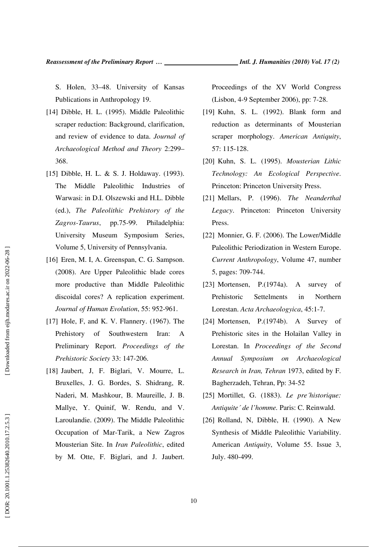S. Holen, 33–48. University of Kansas Publications in Anthropology 19.

- [14] Dibble, H. L. (1995). Middle Paleolithic scraper reduction: Background, clarification, and review of evidence to data. *Journal of Archaeological Method and Theory* 2:299– 368.
- [15] Dibble, H. L. & S. J. Holdaway. (1993). The Middle Paleolithic Industries of Warwasi: in D.I. Olszewski and H.L. Dibble (ed.), *The Paleolithic Prehistory of the Zagros-Taurus*, pp.75-99. Philadelphia: University Museum Symposium Series, Volume 5, University of Pennsylvania.
- [16] Eren, M. I, A. Greenspan, C. G. Sampson. (2008). Are Upper Paleolithic blade cores more productive than Middle Paleolithic discoidal cores? A replication experiment. *Journal of Human Evolution*, 55: 952-961.
- [17] Hole, F, and K. V. Flannery. (1967). The Prehistory of Southwestern Iran: A Preliminary Report. *Proceedings of the Prehistoric Society* 33: 147-206.
- [18] Jaubert, J, F. Biglari, V. Mourre, L. Bruxelles, J. G. Bordes, S. Shidrang, R. Naderi, M. Mashkour, B. Maureille, J. B. Mallye, Y. Quinif, W. Rendu, and V. Laroulandie. (2009). The Middle Paleolithic Occupation of Mar-Tarik, a New Zagros Mousterian Site. In *Iran Paleolithic*, edited by M. Otte, F. Biglari, and J. Jaubert.

Proceedings of the XV World Congress (Lisbon, 4-9 September 2006), pp: 7-28.

- [19] Kuhn, S. L. (1992). Blank form and reduction as determinants of Mousterian scraper morphology. *American Antiquity*, 57: 115-128.
- [20] Kuhn, S. L. (1995). *Mousterian Lithic Technology: An Ecological Perspective*. Princeton: Princeton University Press.
- [21] Mellars, P. (1996). *The Neanderthal Legacy*. Princeton: Princeton University Press.
- [22] Monnier, G. F. (2006). The Lower/Middle Paleolithic Periodization in Western Europe. *Current Anthropology*, Volume 47, number 5, pages: 709-744.
- [23] Mortensen, P.(1974a). A survey of Prehistoric Settelments in Northern Lorestan. *Acta Archaeologyica*, 45:1-7.
- [24] Mortensen, P.(1974b). A Survey of Prehistoric sites in the Holailan Valley in Lorestan. In *Proceedings of the Second Annual Symposium on Archaeological Research in Iran, Tehran* 1973, edited by F. Bagherzadeh, Tehran, Pp: 34-52
- [25] Mortillet, G. (1883). *Le pre historique: Antiquite´ de l'homme.* Paris: C. Reinwald.
- [26] Rolland, N, Dibble, H. (1990). A New Synthesis of Middle Paleolithic Variability. American *Antiquity*, Volume 55. Issue 3, July. 480-499.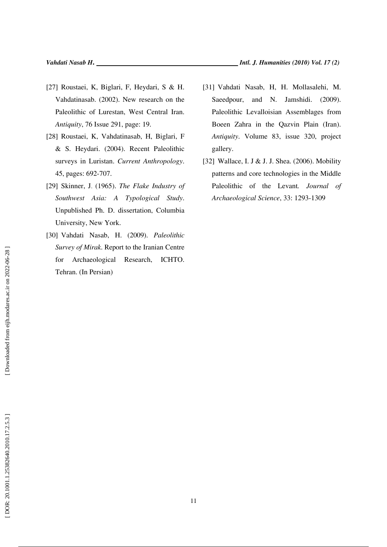- [27] Roustaei, K, Biglari, F, Heydari, S & H. Vahdatinasab. (2002). New research on the Paleolithic of Lurestan, West Central Iran. *Antiquity*, 76 Issue 291, page: 19.
- [28] Roustaei, K, Vahdatinasab, H, Biglari, F & S. Heydari. (2004). Recent Paleolithic surveys in Luristan. *Current Anthropology*. 45, pages: 692-707.
- [29] Skinner, J (1965). *The Flake Industry of Southwest Asia: A Typological Study*. Unpublished Ph. D. dissertation, Columbia University, New York.
- [30] Vahdati Nasab, H. (2009). *Paleolithic Survey of Mirak*. Report to the Iranian Centre for Archaeological Research, ICHTO. Tehran. (In Persian)
- [31] Vahdati Nasab, H, H. Mollasalehi, M. Saeedpour, and N. Jamshidi. (2009). Paleolithic Levalloisian Assemblages from Boeen Zahra in the Qazvin Plain (Iran). *Antiquity*. Volume 83, issue 320, project gallery.
- [32] Wallace, I. J & J. J. Shea. (2006). Mobility patterns and core technologies in the Middle Paleolithic of the Levant*. Journal of Archaeological Science*, 33: 1293-1309